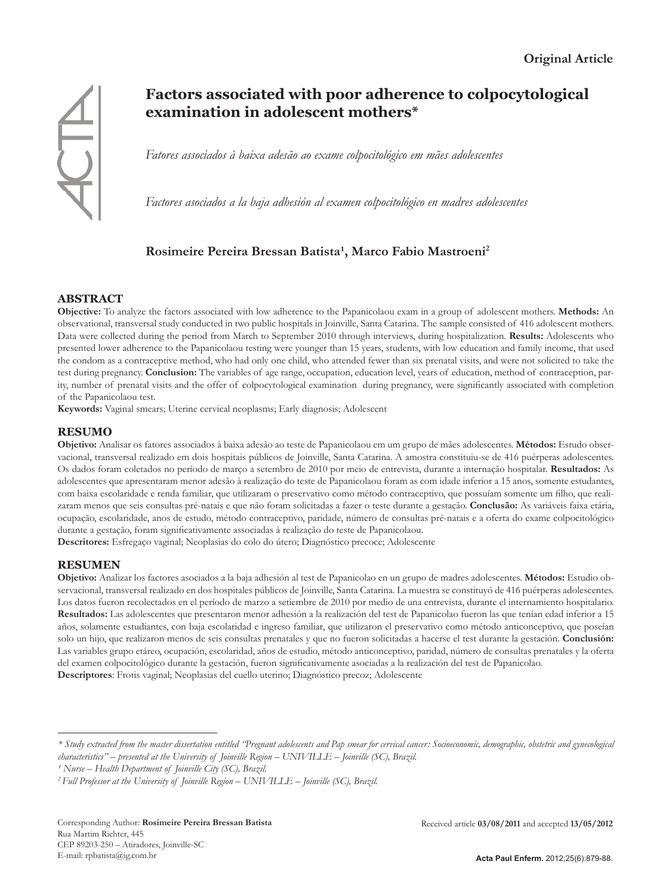

# **Factors associated with poor adherence to colpocytological examination in adolescent mothers\***

*Fatores associados à baixa adesão ao exame colpocitológico em mães adolescentes*

*Factores asociados a la baja adhesión al examen colpocitológico en madres adolescentes*

# Rosimeire Pereira Bressan Batista<sup>1</sup>, Marco Fabio Mastroeni<sup>2</sup>

# **ABSTRACT**

**Objective:** To analyze the factors associated with low adherence to the Papanicolaou exam in a group of adolescent mothers. **Methods:** An observational, transversal study conducted in two public hospitals in Joinville, Santa Catarina. The sample consisted of 416 adolescent mothers. Data were collected during the period from March to September 2010 through interviews, during hospitalization. **Results:** Adolescents who presented lower adherence to the Papanicolaou testing were younger than 15 years, students, with low education and family income, that used the condom as a contraceptive method, who had only one child, who attended fewer than six prenatal visits, and were not solicited to take the test during pregnancy. **Conclusion:** The variables of age range, occupation, education level, years of education, method of contraception, parity, number of prenatal visits and the offer of colpocytological examination during pregnancy, were significantly associated with completion of the Papanicolaou test.

**Keywords:** Vaginal smears; Uterine cervical neoplasms; Early diagnosis; Adolescent

# **RESUMO**

**Objetivo:** Analisar os fatores associados à baixa adesão ao teste de Papanicolaou em um grupo de mães adolescentes. **Métodos:** Estudo observacional, transversal realizado em dois hospitais públicos de Joinville, Santa Catarina. A amostra constituiu-se de 416 puérperas adolescentes. Os dados foram coletados no período de março a setembro de 2010 por meio de entrevista, durante a internação hospitalar. **Resultados:** As adolescentes que apresentaram menor adesão à realização do teste de Papanicolaou foram as com idade inferior a 15 anos, somente estudantes, com baixa escolaridade e renda familiar, que utilizaram o preservativo como método contraceptivo, que possuíam somente um filho, que realizaram menos que seis consultas pré-natais e que não foram solicitadas a fazer o teste durante a gestação. **Conclusão:** As variáveis faixa etária, ocupação, escolaridade, anos de estudo, método contraceptivo, paridade, número de consultas pré-natais e a oferta do exame colpocitológico durante a gestação, foram significativamente associadas à realização do teste de Papanicolaou.

**Descritores:** Esfregaço vaginal; Neoplasias do colo do útero; Diagnóstico precoce; Adolescente

# **RESUMEN**

**Objetivo:** Analizar los factores asociados a la baja adhesión al test de Papanicolao en un grupo de madres adolescentes. **Métodos:** Estudio observacional, transversal realizado en dos hospitales públicos de Joinville, Santa Catarina. La muestra se constituyó de 416 puérperas adolescentes. Los datos fueron recolectados en el período de marzo a setiembre de 2010 por medio de una entrevista, durante el internamiento hospitalario. **Resultados:** Las adolescentes que presentaron menor adhesión a la realización del test de Papanicolao fueron las que tenían edad inferior a 15 años, solamente estudiantes, con baja escolaridad e ingreso familiar, que utilizaron el preservativo como método anticonceptivo, que poseían solo un hijo, que realizaron menos de seis consultas prenatales y que no fueron solicitadas a hacerse el test durante la gestación. **Conclusión:** Las variables grupo etáreo, ocupación, escolaridad, años de estudio, método anticonceptivo, paridad, número de consultas prenatales y la oferta del examen colpocitológico durante la gestación, fueron significativamente asociadas a la realización del test de Papanicolao. **Descriptores**: Frotis vaginal; Neoplasias del cuello uterino; Diagnóstico precoz; Adolescente

*<sup>\*</sup> Study extracted from the master dissertation entitled "Pregnant adolescents and Pap smear for cervical cancer: Socioeconomic, demographic, obstetric and gynecological characteristics" – presented at the University of Joinville Region – UNIVILLE – Joinville (SC), Brazil.*

*¹ Nurse – Health Department of Joinville City (SC), Brazil.* 

*<sup>2</sup> Full Professor at the University of Joinville Region – UNIVILLE – Joinville (SC), Brazil.*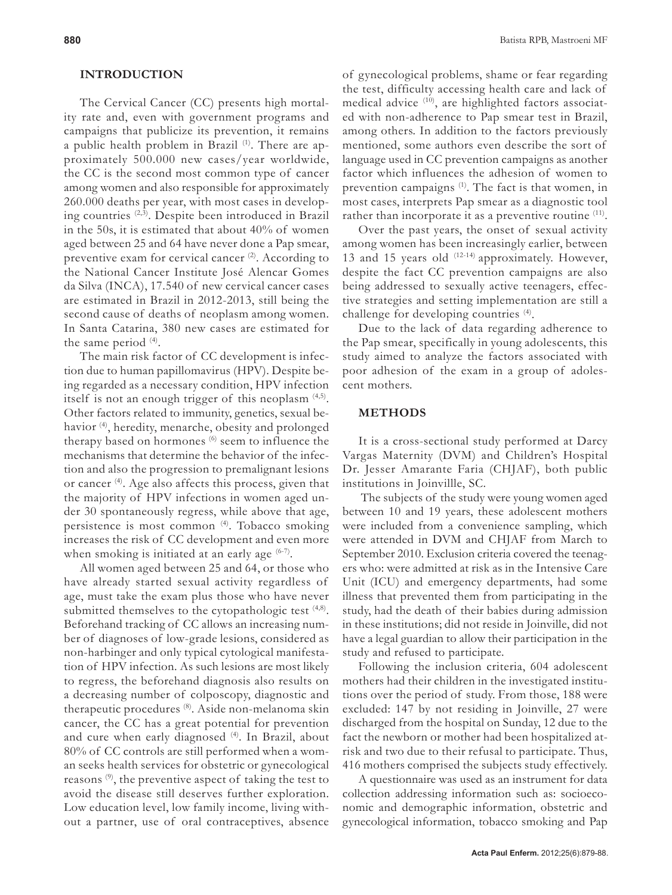#### **INTRODUCTION**

The Cervical Cancer (CC) presents high mortality rate and, even with government programs and campaigns that publicize its prevention, it remains a public health problem in Brazil<sup>(1)</sup>. There are approximately 500.000 new cases/year worldwide, the CC is the second most common type of cancer among women and also responsible for approximately 260.000 deaths per year, with most cases in developing countries (2,3). Despite been introduced in Brazil in the 50s, it is estimated that about 40% of women aged between 25 and 64 have never done a Pap smear, preventive exam for cervical cancer  $(2)$ . According to the National Cancer Institute José Alencar Gomes da Silva (INCA), 17.540 of new cervical cancer cases are estimated in Brazil in 2012-2013, still being the second cause of deaths of neoplasm among women. In Santa Catarina, 380 new cases are estimated for the same period  $(4)$ .

The main risk factor of CC development is infection due to human papillomavirus (HPV). Despite being regarded as a necessary condition, HPV infection itself is not an enough trigger of this neoplasm (4,5). Other factors related to immunity, genetics, sexual behavior (4), heredity, menarche, obesity and prolonged therapy based on hormones (6) seem to influence the mechanisms that determine the behavior of the infection and also the progression to premalignant lesions or cancer (4). Age also affects this process, given that the majority of HPV infections in women aged under 30 spontaneously regress, while above that age, persistence is most common (4). Tobacco smoking increases the risk of CC development and even more when smoking is initiated at an early age  $(6-7)$ .

All women aged between 25 and 64, or those who have already started sexual activity regardless of age, must take the exam plus those who have never submitted themselves to the cytopathologic test  $(4,8)$ . Beforehand tracking of CC allows an increasing number of diagnoses of low-grade lesions, considered as non-harbinger and only typical cytological manifestation of HPV infection. As such lesions are most likely to regress, the beforehand diagnosis also results on a decreasing number of colposcopy, diagnostic and therapeutic procedures (8). Aside non-melanoma skin cancer, the CC has a great potential for prevention and cure when early diagnosed (4). In Brazil, about 80% of CC controls are still performed when a woman seeks health services for obstetric or gynecological reasons (9), the preventive aspect of taking the test to avoid the disease still deserves further exploration. Low education level, low family income, living without a partner, use of oral contraceptives, absence

of gynecological problems, shame or fear regarding the test, difficulty accessing health care and lack of medical advice (10), are highlighted factors associated with non-adherence to Pap smear test in Brazil, among others. In addition to the factors previously mentioned, some authors even describe the sort of language used in CC prevention campaigns as another factor which influences the adhesion of women to prevention campaigns <sup>(1)</sup>. The fact is that women, in most cases, interprets Pap smear as a diagnostic tool rather than incorporate it as a preventive routine <sup>(11)</sup>.

Over the past years, the onset of sexual activity among women has been increasingly earlier, between 13 and 15 years old  $(12-14)$  approximately. However, despite the fact CC prevention campaigns are also being addressed to sexually active teenagers, effective strategies and setting implementation are still a challenge for developing countries (4).

Due to the lack of data regarding adherence to the Pap smear, specifically in young adolescents, this study aimed to analyze the factors associated with poor adhesion of the exam in a group of adolescent mothers.

#### **METHODS**

It is a cross-sectional study performed at Darcy Vargas Maternity (DVM) and Children's Hospital Dr. Jesser Amarante Faria (CHJAF), both public institutions in Joinvillle, SC.

 The subjects of the study were young women aged between 10 and 19 years, these adolescent mothers were included from a convenience sampling, which were attended in DVM and CHJAF from March to September 2010. Exclusion criteria covered the teenagers who: were admitted at risk as in the Intensive Care Unit (ICU) and emergency departments, had some illness that prevented them from participating in the study, had the death of their babies during admission in these institutions; did not reside in Joinville, did not have a legal guardian to allow their participation in the study and refused to participate.

Following the inclusion criteria, 604 adolescent mothers had their children in the investigated institutions over the period of study. From those, 188 were excluded: 147 by not residing in Joinville, 27 were discharged from the hospital on Sunday, 12 due to the fact the newborn or mother had been hospitalized atrisk and two due to their refusal to participate. Thus, 416 mothers comprised the subjects study effectively.

A questionnaire was used as an instrument for data collection addressing information such as: socioeconomic and demographic information, obstetric and gynecological information, tobacco smoking and Pap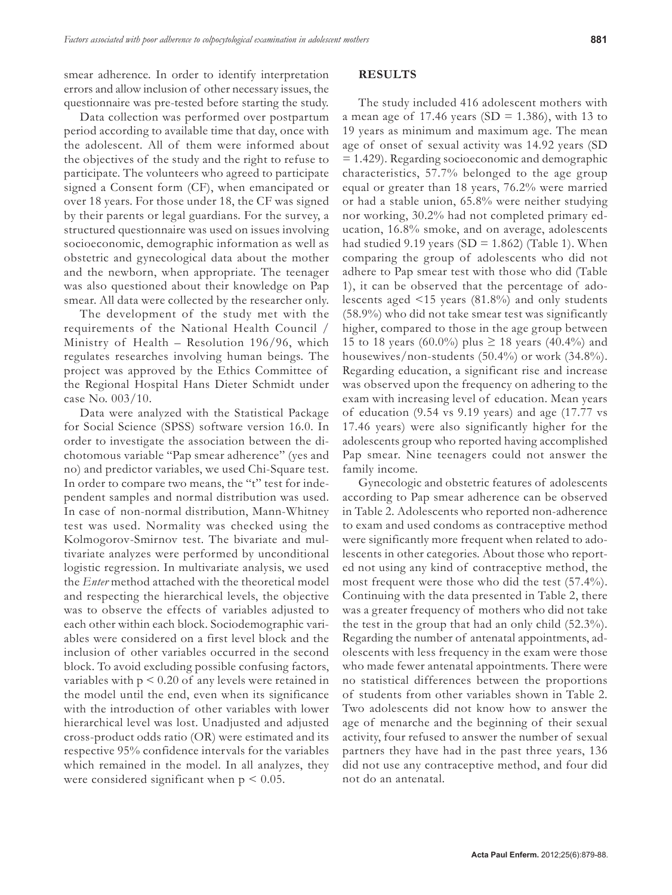Data collection was performed over postpartum period according to available time that day, once with the adolescent. All of them were informed about the objectives of the study and the right to refuse to participate. The volunteers who agreed to participate signed a Consent form (CF), when emancipated or over 18 years. For those under 18, the CF was signed by their parents or legal guardians. For the survey, a structured questionnaire was used on issues involving socioeconomic, demographic information as well as obstetric and gynecological data about the mother and the newborn, when appropriate. The teenager was also questioned about their knowledge on Pap smear. All data were collected by the researcher only.

The development of the study met with the requirements of the National Health Council / Ministry of Health – Resolution 196/96, which regulates researches involving human beings. The project was approved by the Ethics Committee of the Regional Hospital Hans Dieter Schmidt under case No. 003/10.

Data were analyzed with the Statistical Package for Social Science (SPSS) software version 16.0. In order to investigate the association between the dichotomous variable "Pap smear adherence" (yes and no) and predictor variables, we used Chi-Square test. In order to compare two means, the "t" test for independent samples and normal distribution was used. In case of non-normal distribution, Mann-Whitney test was used. Normality was checked using the Kolmogorov-Smirnov test. The bivariate and multivariate analyzes were performed by unconditional logistic regression. In multivariate analysis, we used the *Enter* method attached with the theoretical model and respecting the hierarchical levels, the objective was to observe the effects of variables adjusted to each other within each block. Sociodemographic variables were considered on a first level block and the inclusion of other variables occurred in the second block. To avoid excluding possible confusing factors, variables with  $p < 0.20$  of any levels were retained in the model until the end, even when its significance with the introduction of other variables with lower hierarchical level was lost. Unadjusted and adjusted cross-product odds ratio (OR) were estimated and its respective 95% confidence intervals for the variables which remained in the model. In all analyzes, they were considered significant when  $p < 0.05$ .

#### **RESULTS**

The study included 416 adolescent mothers with a mean age of 17.46 years (SD = 1.386), with 13 to 19 years as minimum and maximum age. The mean age of onset of sexual activity was 14.92 years (SD = 1.429). Regarding socioeconomic and demographic characteristics, 57.7% belonged to the age group equal or greater than 18 years, 76.2% were married or had a stable union, 65.8% were neither studying nor working, 30.2% had not completed primary education, 16.8% smoke, and on average, adolescents had studied 9.19 years (SD = 1.862) (Table 1). When comparing the group of adolescents who did not adhere to Pap smear test with those who did (Table 1), it can be observed that the percentage of adolescents aged  $\leq 15$  years (81.8%) and only students (58.9%) who did not take smear test was significantly higher, compared to those in the age group between 15 to 18 years (60.0%) plus  $\geq$  18 years (40.4%) and housewives/non-students (50.4%) or work (34.8%). Regarding education, a significant rise and increase was observed upon the frequency on adhering to the exam with increasing level of education. Mean years of education (9.54 vs 9.19 years) and age (17.77 vs 17.46 years) were also significantly higher for the adolescents group who reported having accomplished Pap smear. Nine teenagers could not answer the family income.

Gynecologic and obstetric features of adolescents according to Pap smear adherence can be observed in Table 2. Adolescents who reported non-adherence to exam and used condoms as contraceptive method were significantly more frequent when related to adolescents in other categories. About those who reported not using any kind of contraceptive method, the most frequent were those who did the test (57.4%). Continuing with the data presented in Table 2, there was a greater frequency of mothers who did not take the test in the group that had an only child (52.3%). Regarding the number of antenatal appointments, adolescents with less frequency in the exam were those who made fewer antenatal appointments. There were no statistical differences between the proportions of students from other variables shown in Table 2. Two adolescents did not know how to answer the age of menarche and the beginning of their sexual activity, four refused to answer the number of sexual partners they have had in the past three years, 136 did not use any contraceptive method, and four did not do an antenatal.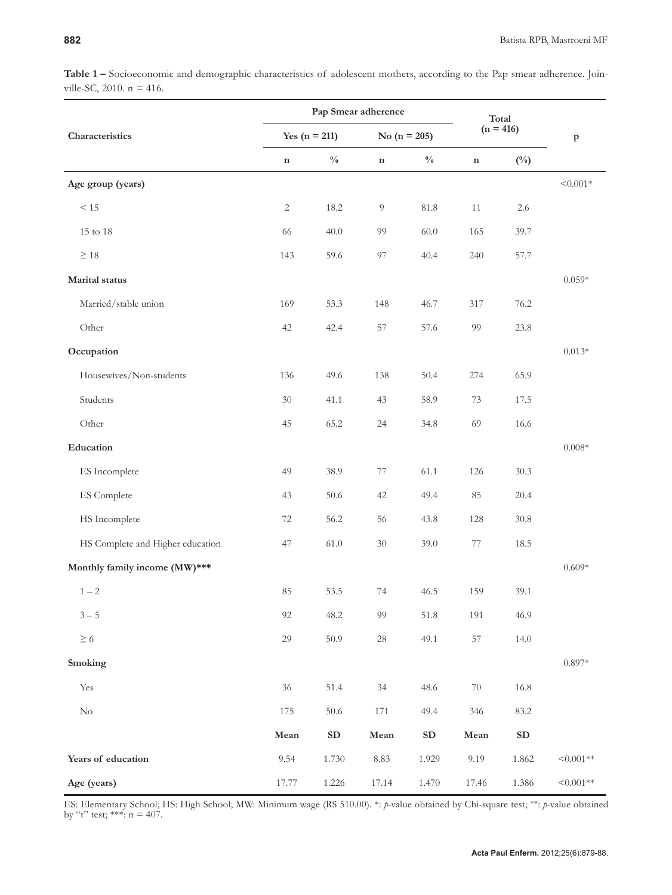| Table 1 - Socioeconomic and demographic characteristics of adolescent mothers, according to the Pap smear adherence. Join- |  |  |  |
|----------------------------------------------------------------------------------------------------------------------------|--|--|--|
| ville-SC, 2010. $n = 416$ .                                                                                                |  |  |  |

|                                  | Pap Smear adherence |               |                |                | Total       |               |             |
|----------------------------------|---------------------|---------------|----------------|----------------|-------------|---------------|-------------|
| Characteristics                  | Yes ( $n = 211$ )   |               |                | No $(n = 205)$ |             | $(n = 416)$   |             |
|                                  | $\mathbf n$         | $\frac{0}{0}$ | $\mathbf n$    | $\frac{0}{0}$  | $\mathbf n$ | $(^{0}/_{0})$ |             |
| Age group (years)                |                     |               |                |                |             |               | $< 0.001*$  |
| $\leq 15$                        | $\overline{2}$      | 18.2          | $\overline{9}$ | $81.8\,$       | 11          | 2.6           |             |
| 15 to 18                         | 66                  | 40.0          | 99             | 60.0           | 165         | 39.7          |             |
| $\geq 18$                        | 143                 | 59.6          | 97             | 40.4           | 240         | 57.7          |             |
| Marital status                   |                     |               |                |                |             |               | $0.059*$    |
| Married/stable union             | 169                 | 53.3          | 148            | 46.7           | 317         | 76.2          |             |
| Other                            | 42                  | 42.4          | 57             | 57.6           | 99          | 23.8          |             |
| Occupation                       |                     |               |                |                |             |               | $0.013*$    |
| Housewives/Non-students          | 136                 | 49.6          | 138            | 50.4           | 274         | 65.9          |             |
| Students                         | $30\,$              | 41.1          | 43             | 58.9           | 73          | 17.5          |             |
| Other                            | 45                  | 65.2          | 24             | 34.8           | 69          | 16.6          |             |
| Education                        |                     |               |                |                |             |               | $0.008*$    |
| ES Incomplete                    | 49                  | 38.9          | 77             | 61.1           | 126         | 30.3          |             |
| ES Complete                      | 43                  | 50.6          | 42             | 49.4           | 85          | 20.4          |             |
| HS Incomplete                    | 72                  | 56.2          | 56             | 43.8           | 128         | 30.8          |             |
| HS Complete and Higher education | 47                  | 61.0          | $30\,$         | 39.0           | 77          | 18.5          |             |
| Monthly family income (MW)***    |                     |               |                |                |             |               | $0.609*$    |
| $1 - 2$                          | 85                  | 53.5          | 74             | 46.5           | 159         | 39.1          |             |
| $3-5$                            | 92                  | 48.2          | 99             | 51.8           | 191         | 46.9          |             |
| $\geq 6$                         | 29                  | 50.9          | $28\,$         | 49.1           | 57          | 14.0          |             |
| Smoking                          |                     |               |                |                |             |               | $0.897*$    |
| $\operatorname{Yes}$             | $36\,$              | 51.4          | $34\,$         | 48.6           | $70\,$      | $16.8\,$      |             |
| $\rm No$                         | 175                 | $50.6\,$      | $171\,$        | 49.4           | 346         | 83.2          |             |
|                                  | ${\bf Mean}$        | ${\bf SD}$    | ${\bf Mean}$   | ${\bf SD}$     | Mean        | ${\bf SD}$    |             |
| Years of education               | 9.54                | 1.730         | 8.83           | 1.929          | 9.19        | 1.862         | $< 0.001**$ |
| Age (years)                      | 17.77               | 1.226         | 17.14          | 1.470          | 17.46       | 1.386         | $< 0.001**$ |

ES: Elementary School; HS: High School; MW: Minimum wage (R\$ 510.00). \*: *p-*value obtained by Chi-square test; \*\*: *p-*value obtained by "t" test; \*\*\*:  $n = 407$ .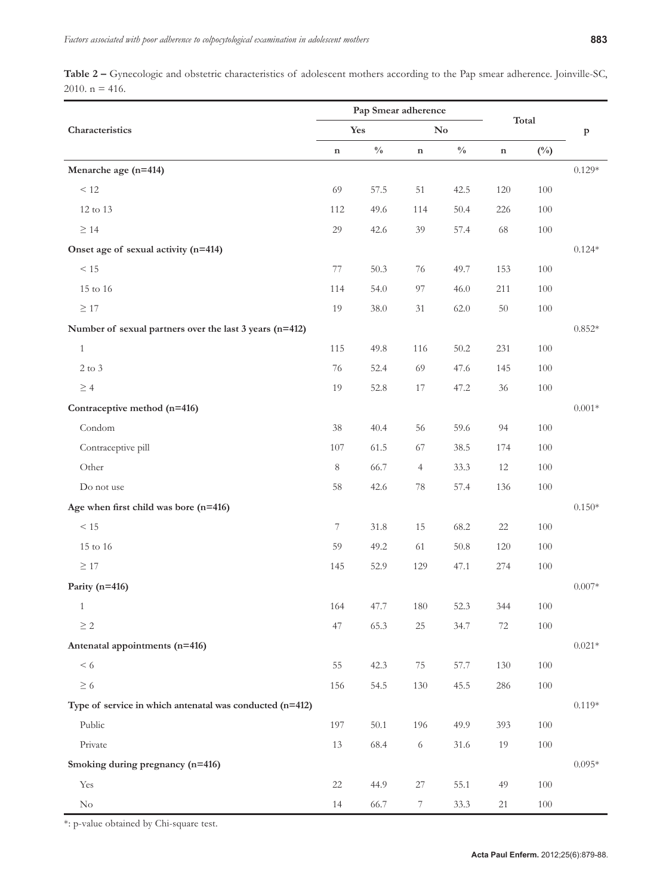**Table 2 –** Gynecologic and obstetric characteristics of adolescent mothers according to the Pap smear adherence. Joinville-SC, 2010.  $n = 416$ .

|                                                          | Pap Smear adherence |               |                        |               |             |              |              |
|----------------------------------------------------------|---------------------|---------------|------------------------|---------------|-------------|--------------|--------------|
| Characteristics                                          | Yes                 |               | $\mathbf{N}\mathbf{o}$ |               | Total       |              | $\, {\bf p}$ |
|                                                          | $\mathbf n$         | $\frac{0}{0}$ | $\mathbf n$            | $\frac{0}{0}$ | $\mathbf n$ | $(^{0}_{0})$ |              |
| Menarche age (n=414)                                     |                     |               |                        |               |             |              | $0.129*$     |
| $\leq 12$                                                | 69                  | 57.5          | 51                     | 42.5          | $120\,$     | 100          |              |
| 12 to 13                                                 | 112                 | 49.6          | 114                    | 50.4          | 226         | 100          |              |
| $\geq 14$                                                | 29                  | 42.6          | 39                     | 57.4          | 68          | $100\,$      |              |
| Onset age of sexual activity (n=414)                     |                     |               |                        |               |             |              | $0.124*$     |
| $\leq 15$                                                | 77                  | 50.3          | 76                     | 49.7          | 153         | 100          |              |
| $15$ to $16\,$                                           | 114                 | 54.0          | 97                     | 46.0          | 211         | 100          |              |
| $\geq 17$                                                | 19                  | 38.0          | 31                     | 62.0          | $50\,$      | $100\,$      |              |
| Number of sexual partners over the last 3 years (n=412)  |                     |               |                        |               |             |              | $0.852*$     |
| $1\,$                                                    | 115                 | 49.8          | 116                    | 50.2          | 231         | 100          |              |
| $2$ to $3\,$                                             | $76\,$              | 52.4          | 69                     | 47.6          | 145         | 100          |              |
| $\geq 4$                                                 | 19                  | 52.8          | 17                     | 47.2          | 36          | $100\,$      |              |
| Contraceptive method (n=416)                             |                     |               |                        |               |             |              | $0.001*$     |
| Condom                                                   | $38\,$              | 40.4          | 56                     | 59.6          | 94          | 100          |              |
| Contraceptive pill                                       | 107                 | 61.5          | 67                     | 38.5          | 174         | 100          |              |
| Other                                                    | $\,8\,$             | 66.7          | $\overline{4}$         | 33.3          | 12          | 100          |              |
| Do not use                                               | $58\,$              | 42.6          | 78                     | 57.4          | 136         | $100\,$      |              |
| Age when first child was bore $(n=416)$                  |                     |               |                        |               |             |              | $0.150*$     |
| < 15                                                     | 7                   | $31.8\,$      | 15                     | 68.2          | $22\,$      | 100          |              |
| $15$ to $16\,$                                           | 59                  | 49.2          | 61                     | 50.8          | 120         | 100          |              |
| $\geq 17$                                                | 145                 | 52.9          | 129                    | 47.1          | 274         | 100          |              |
| Parity (n=416)                                           |                     |               |                        |               |             |              | $0.007*$     |
| 1                                                        | 164                 | 47.7          | $180\,$                | 52.3          | 344         | 100          |              |
| $\geq 2$                                                 | $47\,$              | 65.3          | $25\,$                 | 34.7          | 72          | $100\,$      |              |
| Antenatal appointments (n=416)                           |                     |               |                        |               |             |              | $0.021*$     |
| $\leq 6$                                                 | 55                  | 42.3          | $75\,$                 | 57.7          | 130         | 100          |              |
| $\geq 6$                                                 | 156                 | 54.5          | 130                    | 45.5          | 286         | $100\,$      |              |
| Type of service in which antenatal was conducted (n=412) |                     |               |                        |               |             |              | $0.119*$     |
| Public                                                   | 197                 | 50.1          | 196                    | 49.9          | 393         | 100          |              |
| Private                                                  | $13\,$              | 68.4          | $\sqrt{6}$             | $31.6\,$      | 19          | $100\,$      |              |
| Smoking during pregnancy (n=416)                         |                     |               |                        |               |             |              | $0.095*$     |
| Yes                                                      | $22\,$              | 44.9          | $27\,$                 | 55.1          | 49          | 100          |              |
| $\rm No$                                                 | $14\,$              | 66.7          | $\overline{7}$         | 33.3          | 21          | $100\,$      |              |

\*: p-value obtained by Chi-square test.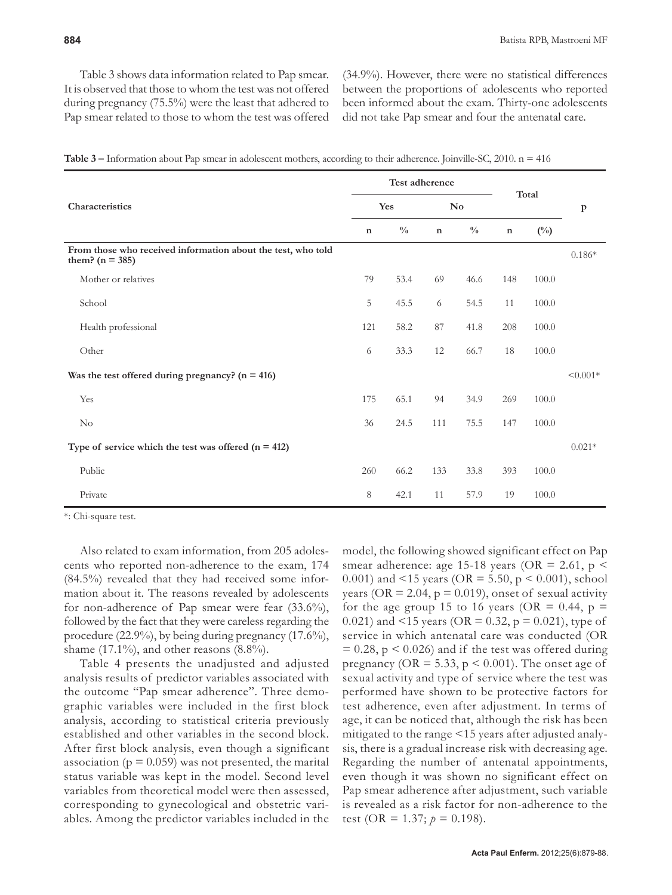Table 3 shows data information related to Pap smear. It is observed that those to whom the test was not offered during pregnancy (75.5%) were the least that adhered to Pap smear related to those to whom the test was offered (34.9%). However, there were no statistical differences between the proportions of adolescents who reported been informed about the exam. Thirty-one adolescents did not take Pap smear and four the antenatal care.

|  | Table $3$ – Information about Pap smear in adolescent mothers, according to their adherence. Joinville-SC, 2010. $n = 416$ |  |
|--|----------------------------------------------------------------------------------------------------------------------------|--|
|  |                                                                                                                            |  |

|                                                                                   | Test adherence |               |                        |               |             |              |              |
|-----------------------------------------------------------------------------------|----------------|---------------|------------------------|---------------|-------------|--------------|--------------|
| Characteristics                                                                   | Yes            |               | $\mathbf{N}\mathbf{o}$ |               | Total       |              | $\, {\bf p}$ |
|                                                                                   | $\mathbf n$    | $\frac{0}{0}$ | $\mathbf n$            | $\frac{0}{0}$ | $\mathbf n$ | $(^{0}_{0})$ |              |
| From those who received information about the test, who told<br>them? $(n = 385)$ |                |               |                        |               |             |              | $0.186*$     |
| Mother or relatives                                                               | 79             | 53.4          | 69                     | 46.6          | 148         | 100.0        |              |
| School                                                                            | 5              | 45.5          | 6                      | 54.5          | 11          | 100.0        |              |
| Health professional                                                               | 121            | 58.2          | 87                     | 41.8          | 208         | 100.0        |              |
| Other                                                                             | 6              | 33.3          | $12\,$                 | 66.7          | 18          | 100.0        |              |
| Was the test offered during pregnancy? $(n = 416)$                                |                |               |                        |               |             |              | $< 0.001*$   |
| Yes                                                                               | 175            | 65.1          | 94                     | 34.9          | 269         | 100.0        |              |
| N <sub>o</sub>                                                                    | 36             | 24.5          | 111                    | 75.5          | 147         | 100.0        |              |
| Type of service which the test was offered $(n = 412)$                            |                |               |                        |               |             |              | $0.021*$     |
| Public                                                                            | 260            | 66.2          | 133                    | 33.8          | 393         | 100.0        |              |
| Private                                                                           | 8              | 42.1          | 11                     | 57.9          | 19          | 100.0        |              |

\*: Chi-square test.

Also related to exam information, from 205 adolescents who reported non-adherence to the exam, 174 (84.5%) revealed that they had received some information about it. The reasons revealed by adolescents for non-adherence of Pap smear were fear (33.6%), followed by the fact that they were careless regarding the procedure (22.9%), by being during pregnancy (17.6%), shame  $(17.1\%)$ , and other reasons  $(8.8\%)$ .

Table 4 presents the unadjusted and adjusted analysis results of predictor variables associated with the outcome "Pap smear adherence". Three demographic variables were included in the first block analysis, according to statistical criteria previously established and other variables in the second block. After first block analysis, even though a significant association ( $p = 0.059$ ) was not presented, the marital status variable was kept in the model. Second level variables from theoretical model were then assessed, corresponding to gynecological and obstetric variables. Among the predictor variables included in the

model, the following showed significant effect on Pap smear adherence: age 15-18 years (OR = 2.61,  $p$  < 0.001) and <15 years (OR = 5.50,  $p$  < 0.001), school years (OR = 2.04,  $p = 0.019$ ), onset of sexual activity for the age group 15 to 16 years (OR = 0.44,  $p =$ 0.021) and <15 years (OR = 0.32,  $p = 0.021$ ), type of service in which antenatal care was conducted (OR  $= 0.28$ , p  $\leq 0.026$ ) and if the test was offered during pregnancy ( $OR = 5.33$ ,  $p \le 0.001$ ). The onset age of sexual activity and type of service where the test was performed have shown to be protective factors for test adherence, even after adjustment. In terms of age, it can be noticed that, although the risk has been mitigated to the range <15 years after adjusted analysis, there is a gradual increase risk with decreasing age. Regarding the number of antenatal appointments, even though it was shown no significant effect on Pap smear adherence after adjustment, such variable is revealed as a risk factor for non-adherence to the test (OR = 1.37;  $p = 0.198$ ).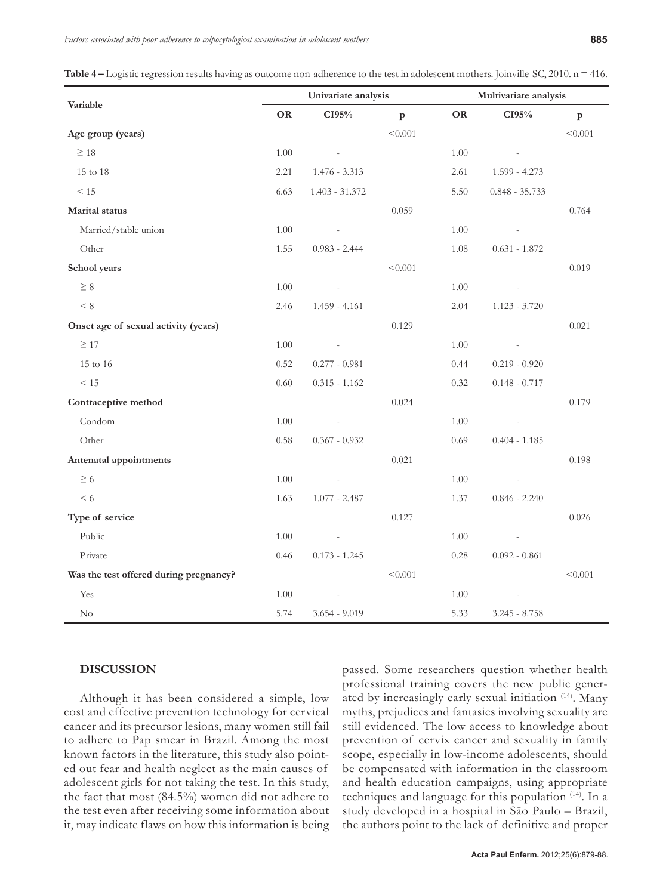**Table 4 –** Logistic regression results having as outcome non-adherence to the test in adolescent mothers. Joinville-SC, 2010. n = 416.

|                                        | Univariate analysis |                          |              | Multivariate analysis |                          |              |  |
|----------------------------------------|---------------------|--------------------------|--------------|-----------------------|--------------------------|--------------|--|
| Variable                               | <b>OR</b>           | CI95%                    | $\, {\bf p}$ | <b>OR</b>             | CI95%                    | $\mathbf{p}$ |  |
| Age group (years)                      |                     |                          | < 0.001      |                       |                          | < 0.001      |  |
| $\geq 18$                              | 1.00                | $\sim$                   |              | 1.00                  | $\sim$ $-$               |              |  |
| 15 to 18                               | 2.21                | $1.476 - 3.313$          |              | 2.61                  | $1.599 - 4.273$          |              |  |
| $\leq 15$                              | 6.63                | $1.403 - 31.372$         |              | 5.50                  | $0.848 - 35.733$         |              |  |
| Marital status                         |                     |                          | 0.059        |                       |                          | 0.764        |  |
| Married/stable union                   | 1.00                | $\overline{\phantom{a}}$ |              | 1.00                  | $\overline{\phantom{a}}$ |              |  |
| Other                                  | 1.55                | $0.983 - 2.444$          |              | 1.08                  | $0.631 - 1.872$          |              |  |
| School years                           |                     |                          | < 0.001      |                       |                          | 0.019        |  |
| $\geq 8$                               | 1.00                | $\overline{\phantom{a}}$ |              | 1.00                  | $\overline{\phantom{a}}$ |              |  |
| < 8                                    | 2.46                | $1.459 - 4.161$          |              | 2.04                  | $1.123 - 3.720$          |              |  |
| Onset age of sexual activity (years)   |                     |                          | 0.129        |                       |                          | 0.021        |  |
| $\geq$ 17                              | 1.00                | $\overline{\phantom{a}}$ |              | 1.00                  | $\overline{\phantom{a}}$ |              |  |
| $15$ to $16\,$                         | 0.52                | $0.277 - 0.981$          |              | 0.44                  | $0.219 - 0.920$          |              |  |
| < 15                                   | 0.60                | $0.315 - 1.162$          |              | 0.32                  | $0.148 - 0.717$          |              |  |
| Contraceptive method                   |                     |                          | 0.024        |                       |                          | 0.179        |  |
| Condom                                 | $1.00\,$            | $\overline{\phantom{a}}$ |              | 1.00                  | $\overline{\phantom{a}}$ |              |  |
| Other                                  | 0.58                | $0.367 - 0.932$          |              | 0.69                  | $0.404 - 1.185$          |              |  |
| Antenatal appointments                 |                     |                          | 0.021        |                       |                          | 0.198        |  |
| $\geq 6$                               | $1.00\,$            | $\overline{\phantom{a}}$ |              | 1.00                  | $\overline{\phantom{a}}$ |              |  |
| < 6                                    | 1.63                | $1.077 - 2.487$          |              | 1.37                  | $0.846 - 2.240$          |              |  |
| Type of service                        |                     |                          | 0.127        |                       |                          | 0.026        |  |
| Public                                 | 1.00                | $\overline{\phantom{a}}$ |              | 1.00                  | $\overline{\phantom{a}}$ |              |  |
| Private                                | 0.46                | $0.173 - 1.245$          |              | 0.28                  | $0.092 - 0.861$          |              |  |
| Was the test offered during pregnancy? |                     |                          | < 0.001      |                       |                          | < 0.001      |  |
| Yes                                    | 1.00                | $\overline{\phantom{a}}$ |              | 1.00                  | $\overline{\phantom{a}}$ |              |  |
| $\rm No$                               | 5.74                | $3.654 - 9.019$          |              | 5.33                  | $3.245 - 8.758$          |              |  |

# **DISCUSSION**

Although it has been considered a simple, low cost and effective prevention technology for cervical cancer and its precursor lesions, many women still fail to adhere to Pap smear in Brazil. Among the most known factors in the literature, this study also pointed out fear and health neglect as the main causes of adolescent girls for not taking the test. In this study, the fact that most (84.5%) women did not adhere to the test even after receiving some information about it, may indicate flaws on how this information is being passed. Some researchers question whether health professional training covers the new public generated by increasingly early sexual initiation (14). Many myths, prejudices and fantasies involving sexuality are still evidenced. The low access to knowledge about prevention of cervix cancer and sexuality in family scope, especially in low-income adolescents, should be compensated with information in the classroom and health education campaigns, using appropriate techniques and language for this population (14). In a study developed in a hospital in São Paulo – Brazil, the authors point to the lack of definitive and proper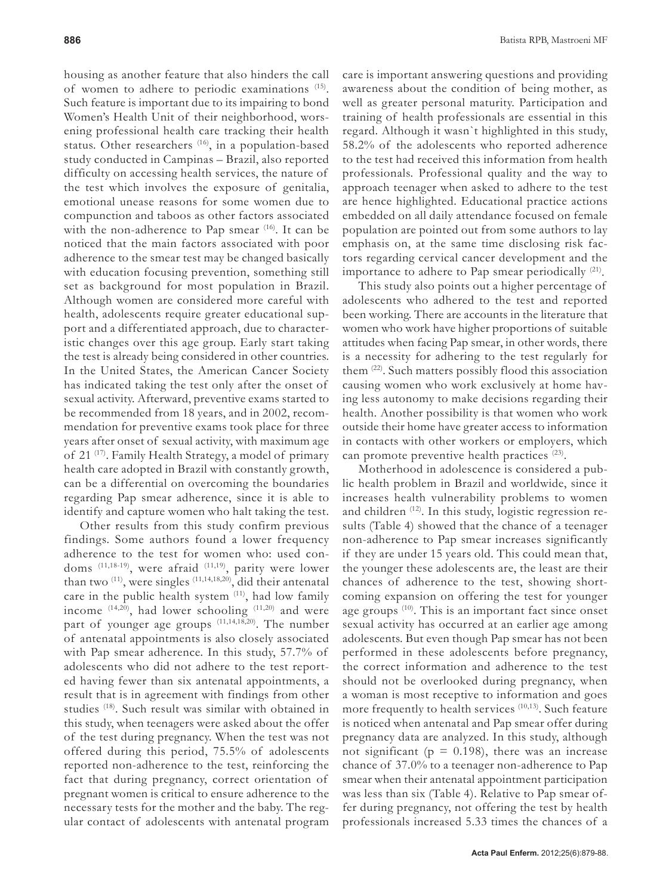housing as another feature that also hinders the call of women to adhere to periodic examinations (15). Such feature is important due to its impairing to bond Women's Health Unit of their neighborhood, worsening professional health care tracking their health status. Other researchers <sup>(16)</sup>, in a population-based study conducted in Campinas – Brazil, also reported difficulty on accessing health services, the nature of the test which involves the exposure of genitalia, emotional unease reasons for some women due to compunction and taboos as other factors associated with the non-adherence to Pap smear  $(16)$ . It can be noticed that the main factors associated with poor adherence to the smear test may be changed basically with education focusing prevention, something still set as background for most population in Brazil. Although women are considered more careful with health, adolescents require greater educational support and a differentiated approach, due to characteristic changes over this age group. Early start taking the test is already being considered in other countries. In the United States, the American Cancer Society has indicated taking the test only after the onset of sexual activity. Afterward, preventive exams started to be recommended from 18 years, and in 2002, recommendation for preventive exams took place for three years after onset of sexual activity, with maximum age of 21 (17). Family Health Strategy, a model of primary health care adopted in Brazil with constantly growth, can be a differential on overcoming the boundaries regarding Pap smear adherence, since it is able to identify and capture women who halt taking the test.

Other results from this study confirm previous findings. Some authors found a lower frequency adherence to the test for women who: used condoms (11,18-19), were afraid (11,19), parity were lower than two  $(11)$ , were singles  $(11,14,18,20)$ , did their antenatal care in the public health system <sup>(11)</sup>, had low family income  $(14,20)$ , had lower schooling  $(11,20)$  and were part of younger age groups  $(11,14,18,20)$ . The number of antenatal appointments is also closely associated with Pap smear adherence. In this study, 57.7% of adolescents who did not adhere to the test reported having fewer than six antenatal appointments, a result that is in agreement with findings from other studies (18). Such result was similar with obtained in this study, when teenagers were asked about the offer of the test during pregnancy. When the test was not offered during this period, 75.5% of adolescents reported non-adherence to the test, reinforcing the fact that during pregnancy, correct orientation of pregnant women is critical to ensure adherence to the necessary tests for the mother and the baby. The regular contact of adolescents with antenatal program

care is important answering questions and providing awareness about the condition of being mother, as well as greater personal maturity. Participation and training of health professionals are essential in this regard. Although it wasn`t highlighted in this study, 58.2% of the adolescents who reported adherence to the test had received this information from health professionals. Professional quality and the way to approach teenager when asked to adhere to the test are hence highlighted. Educational practice actions embedded on all daily attendance focused on female population are pointed out from some authors to lay emphasis on, at the same time disclosing risk factors regarding cervical cancer development and the importance to adhere to Pap smear periodically (21).

This study also points out a higher percentage of adolescents who adhered to the test and reported been working. There are accounts in the literature that women who work have higher proportions of suitable attitudes when facing Pap smear, in other words, there is a necessity for adhering to the test regularly for them (22). Such matters possibly flood this association causing women who work exclusively at home having less autonomy to make decisions regarding their health. Another possibility is that women who work outside their home have greater access to information in contacts with other workers or employers, which can promote preventive health practices<sup>(23)</sup>.

Motherhood in adolescence is considered a public health problem in Brazil and worldwide, since it increases health vulnerability problems to women and children (12). In this study, logistic regression results (Table 4) showed that the chance of a teenager non-adherence to Pap smear increases significantly if they are under 15 years old. This could mean that, the younger these adolescents are, the least are their chances of adherence to the test, showing shortcoming expansion on offering the test for younger age groups <sup>(10)</sup>. This is an important fact since onset sexual activity has occurred at an earlier age among adolescents. But even though Pap smear has not been performed in these adolescents before pregnancy, the correct information and adherence to the test should not be overlooked during pregnancy, when a woman is most receptive to information and goes more frequently to health services <sup>(10,13)</sup>. Such feature is noticed when antenatal and Pap smear offer during pregnancy data are analyzed. In this study, although not significant ( $p = 0.198$ ), there was an increase chance of 37.0% to a teenager non-adherence to Pap smear when their antenatal appointment participation was less than six (Table 4). Relative to Pap smear offer during pregnancy, not offering the test by health professionals increased 5.33 times the chances of a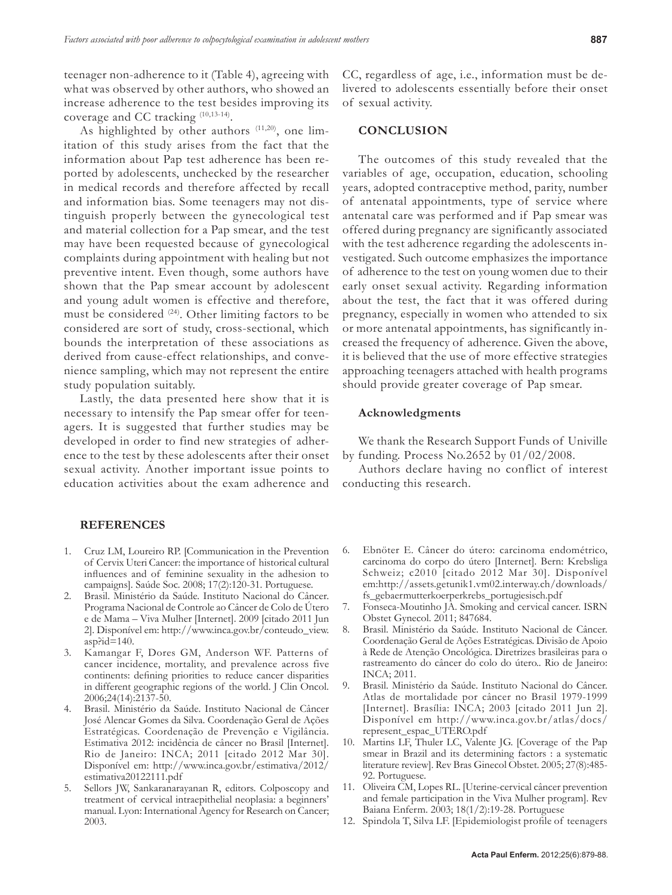teenager non-adherence to it (Table 4), agreeing with what was observed by other authors, who showed an increase adherence to the test besides improving its coverage and CC tracking (10,13-14).

As highlighted by other authors  $(11,20)$ , one limitation of this study arises from the fact that the information about Pap test adherence has been reported by adolescents, unchecked by the researcher in medical records and therefore affected by recall and information bias. Some teenagers may not distinguish properly between the gynecological test and material collection for a Pap smear, and the test may have been requested because of gynecological complaints during appointment with healing but not preventive intent. Even though, some authors have shown that the Pap smear account by adolescent and young adult women is effective and therefore, must be considered (24). Other limiting factors to be considered are sort of study, cross-sectional, which bounds the interpretation of these associations as derived from cause-effect relationships, and convenience sampling, which may not represent the entire study population suitably.

Lastly, the data presented here show that it is necessary to intensify the Pap smear offer for teenagers. It is suggested that further studies may be developed in order to find new strategies of adherence to the test by these adolescents after their onset sexual activity. Another important issue points to education activities about the exam adherence and

#### **REFERENCES**

- 1. Cruz LM, Loureiro RP. [Communication in the Prevention of Cervix Uteri Cancer: the importance of historical cultural influences and of feminine sexuality in the adhesion to campaigns]. Saúde Soc. 2008; 17(2):120-31. Portuguese.
- 2. Brasil. Ministério da Saúde. Instituto Nacional do Câncer. Programa Nacional de Controle ao Câncer de Colo de Útero e de Mama – Viva Mulher [Internet]. 2009 [citado 2011 Jun 2]. Disponível em: http://www.inca.gov.br/conteudo\_view.  $asp$ ?id=140.
- 3. Kamangar F, Dores GM, Anderson WF. Patterns of cancer incidence, mortality, and prevalence across five continents: defining priorities to reduce cancer disparities in different geographic regions of the world. J Clin Oncol. 2006;24(14):2137-50.
- 4. Brasil. Ministério da Saúde. Instituto Nacional de Câncer José Alencar Gomes da Silva. Coordenação Geral de Ações Estratégicas. Coordenação de Prevenção e Vigilância. Estimativa 2012: incidência de câncer no Brasil [Internet]. Rio de Janeiro: INCA; 2011 [citado 2012 Mar 30]. Disponível em: http://www.inca.gov.br/estimativa/2012/ estimativa20122111.pdf
- 5. Sellors JW, Sankaranarayanan R, editors. Colposcopy and treatment of cervical intraepithelial neoplasia: a beginners' manual. Lyon: International Agency for Research on Cancer; 2003.

CC, regardless of age, i.e., information must be delivered to adolescents essentially before their onset of sexual activity.

#### **CONCLUSION**

The outcomes of this study revealed that the variables of age, occupation, education, schooling years, adopted contraceptive method, parity, number of antenatal appointments, type of service where antenatal care was performed and if Pap smear was offered during pregnancy are significantly associated with the test adherence regarding the adolescents investigated. Such outcome emphasizes the importance of adherence to the test on young women due to their early onset sexual activity. Regarding information about the test, the fact that it was offered during pregnancy, especially in women who attended to six or more antenatal appointments, has significantly increased the frequency of adherence. Given the above, it is believed that the use of more effective strategies approaching teenagers attached with health programs should provide greater coverage of Pap smear.

#### **Acknowledgments**

We thank the Research Support Funds of Univille by funding. Process No.2652 by 01/02/2008.

Authors declare having no conflict of interest conducting this research.

- 6. Ebnöter E. Câncer do útero: carcinoma endométrico, carcinoma do corpo do útero [Internet]. Bern: Krebsliga Schweiz; c2010 [citado 2012 Mar 30]. Disponível em:http://assets.getunik1.vm02.interway.ch/downloads/ fs\_gebaermutterkoerperkrebs\_portugiesisch.pdf
- 7. Fonseca-Moutinho JA. Smoking and cervical cancer. ISRN Obstet Gynecol. 2011; 847684.
- 8. Brasil. Ministério da Saúde. Instituto Nacional de Câncer. Coordenação Geral de Ações Estratégicas. Divisão de Apoio à Rede de Atenção Oncológica. Diretrizes brasileiras para o rastreamento do câncer do colo do útero.. Rio de Janeiro: INCA; 2011.
- 9. Brasil. Ministério da Saúde. Instituto Nacional do Câncer. Atlas de mortalidade por câncer no Brasil 1979-1999 [Internet]. Brasília: INCA; 2003 [citado 2011 Jun 2]. Disponível em http://www.inca.gov.br/atlas/docs/ represent\_espac\_UTERO.pdf
- 10. Martins LF, Thuler LC, Valente JG. [Coverage of the Pap smear in Brazil and its determining factors : a systematic literature review]. Rev Bras Ginecol Obstet. 2005; 27(8):485- 92. Portuguese.
- 11. Oliveira CM, Lopes RL. [Uterine-cervical câncer prevention and female participation in the Viva Mulher program]. Rev Baiana Enferm. 2003; 18(1/2):19-28. Portuguese
- 12. Spindola T, Silva LF. [Epidemiologist profile of teenagers